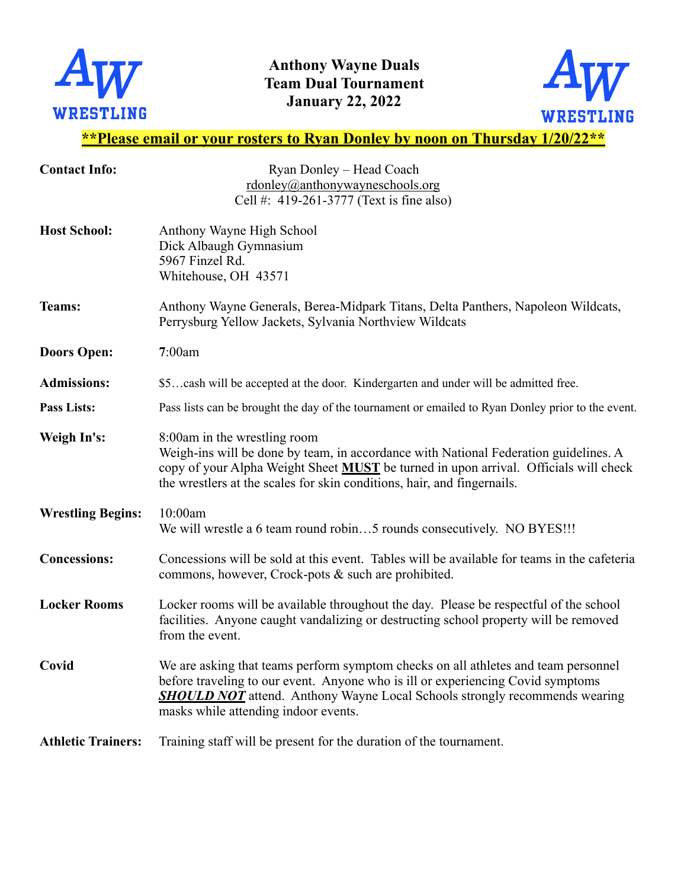

**Anthony Wayne Duals Team Dual Tournament January 22, 2022** 



## **\*\*Please email or your rosters to Ryan Donley by noon on Thursday 1/20/22\*\***

| <b>Contact Info:</b>      | Ryan Donley - Head Coach                                                                                                                                                                                                                                                                           |
|---------------------------|----------------------------------------------------------------------------------------------------------------------------------------------------------------------------------------------------------------------------------------------------------------------------------------------------|
|                           | rdonley@anthonywayneschools.org                                                                                                                                                                                                                                                                    |
|                           | Cell #: 419-261-3777 (Text is fine also)                                                                                                                                                                                                                                                           |
| <b>Host School:</b>       | Anthony Wayne High School<br>Dick Albaugh Gymnasium                                                                                                                                                                                                                                                |
|                           | 5967 Finzel Rd.                                                                                                                                                                                                                                                                                    |
|                           | Whitehouse, OH 43571                                                                                                                                                                                                                                                                               |
|                           |                                                                                                                                                                                                                                                                                                    |
| Teams:                    | Anthony Wayne Generals, Berea-Midpark Titans, Delta Panthers, Napoleon Wildcats,<br>Perrysburg Yellow Jackets, Sylvania Northview Wildcats                                                                                                                                                         |
| <b>Doors Open:</b>        | 7:00am                                                                                                                                                                                                                                                                                             |
| <b>Admissions:</b>        | \$5cash will be accepted at the door. Kindergarten and under will be admitted free.                                                                                                                                                                                                                |
| <b>Pass Lists:</b>        | Pass lists can be brought the day of the tournament or emailed to Ryan Donley prior to the event.                                                                                                                                                                                                  |
| Weigh In's:               | 8:00am in the wrestling room<br>Weigh-ins will be done by team, in accordance with National Federation guidelines. A<br>copy of your Alpha Weight Sheet MUST be turned in upon arrival. Officials will check<br>the wrestlers at the scales for skin conditions, hair, and fingernails.            |
| <b>Wrestling Begins:</b>  | 10:00am<br>We will wrestle a 6 team round robin5 rounds consecutively. NO BYES!!!                                                                                                                                                                                                                  |
| <b>Concessions:</b>       | Concessions will be sold at this event. Tables will be available for teams in the cafeteria<br>commons, however, Crock-pots & such are prohibited.                                                                                                                                                 |
| <b>Locker Rooms</b>       | Locker rooms will be available throughout the day. Please be respectful of the school<br>facilities. Anyone caught vandalizing or destructing school property will be removed<br>from the event.                                                                                                   |
| Covid                     | We are asking that teams perform symptom checks on all athletes and team personnel<br>before traveling to our event. Anyone who is ill or experiencing Covid symptoms<br><b>SHOULD NOT</b> attend. Anthony Wayne Local Schools strongly recommends wearing<br>masks while attending indoor events. |
| <b>Athletic Trainers:</b> | Training staff will be present for the duration of the tournament.                                                                                                                                                                                                                                 |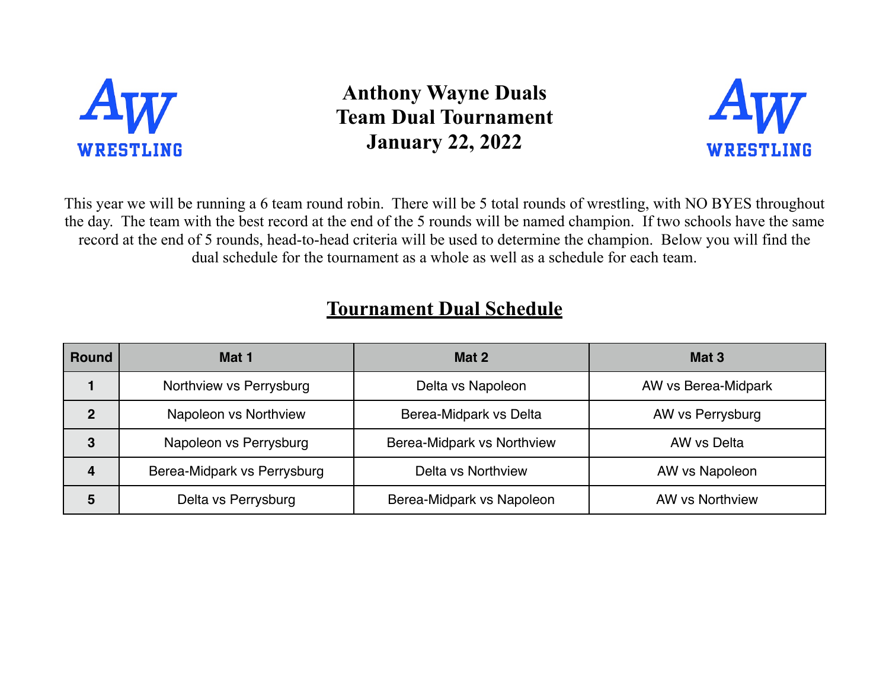

**Anthony Wayne Duals Team Dual Tournament January 22, 2022**



This year we will be running a 6 team round robin. There will be 5 total rounds of wrestling, with NO BYES throughout the day. The team with the best record at the end of the 5 rounds will be named champion. If two schools have the same record at the end of 5 rounds, head-to-head criteria will be used to determine the champion. Below you will find the dual schedule for the tournament as a whole as well as a schedule for each team.

## **Tournament Dual Schedule**

| <b>Round</b>     | Mat 1                       | Mat 2                      | Mat <sub>3</sub>       |
|------------------|-----------------------------|----------------------------|------------------------|
|                  | Northview vs Perrysburg     | Delta vs Napoleon          | AW vs Berea-Midpark    |
| 2                | Napoleon vs Northview       | Berea-Midpark vs Delta     | AW vs Perrysburg       |
| 3                | Napoleon vs Perrysburg      | Berea-Midpark vs Northview | AW vs Delta            |
| $\boldsymbol{4}$ | Berea-Midpark vs Perrysburg | Delta vs Northview         | AW vs Napoleon         |
| 5                | Delta vs Perrysburg         | Berea-Midpark vs Napoleon  | <b>AW vs Northview</b> |